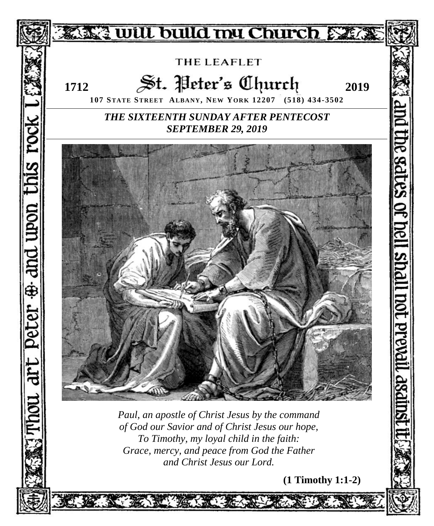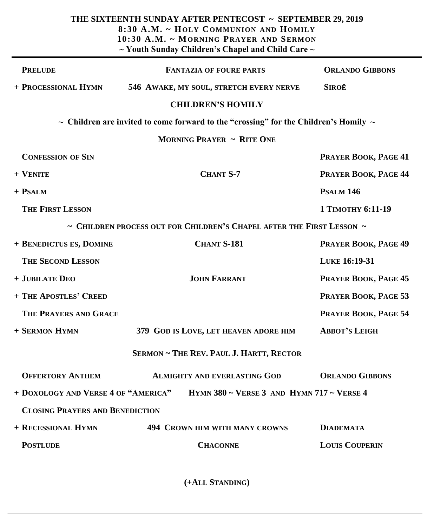| THE SIXTEENTH SUNDAY AFTER PENTECOST ~ SEPTEMBER 29, 2019<br>8:30 A.M. ~ HOLY COMMUNION AND HOMILY<br>10:30 A.M. ~ MORNING PRAYER AND SERMON<br>$\sim$ Youth Sunday Children's Chapel and Child Care $\sim$ |                                                                                                |                        |
|-------------------------------------------------------------------------------------------------------------------------------------------------------------------------------------------------------------|------------------------------------------------------------------------------------------------|------------------------|
| <b>PRELUDE</b>                                                                                                                                                                                              | <b>FANTAZIA OF FOURE PARTS</b>                                                                 | <b>ORLANDO GIBBONS</b> |
| + PROCESSIONAL HYMN                                                                                                                                                                                         | 546 AWAKE, MY SOUL, STRETCH EVERY NERVE                                                        | <b>SIROË</b>           |
|                                                                                                                                                                                                             | <b>CHILDREN'S HOMILY</b>                                                                       |                        |
|                                                                                                                                                                                                             | $\sim$ Children are invited to come forward to the "crossing" for the Children's Homily $\sim$ |                        |
| <b>MORNING PRAYER ~ RITE ONE</b>                                                                                                                                                                            |                                                                                                |                        |
| <b>CONFESSION OF SIN</b>                                                                                                                                                                                    |                                                                                                | PRAYER BOOK, PAGE 41   |
| + VENITE                                                                                                                                                                                                    | <b>CHANT S-7</b>                                                                               | PRAYER BOOK, PAGE 44   |
| $+$ PSALM                                                                                                                                                                                                   |                                                                                                | <b>PSALM 146</b>       |
| <b>THE FIRST LESSON</b>                                                                                                                                                                                     |                                                                                                | 1 ТІМОТНУ 6:11-19      |
|                                                                                                                                                                                                             | $\sim$ Children process out for Children's Chapel after the First Lesson $\sim$                |                        |
| + BENEDICTUS ES, DOMINE                                                                                                                                                                                     | <b>CHANT S-181</b>                                                                             | PRAYER BOOK, PAGE 49   |
| <b>THE SECOND LESSON</b>                                                                                                                                                                                    |                                                                                                | LUKE 16:19-31          |
| + JUBILATE DEO                                                                                                                                                                                              | <b>JOHN FARRANT</b>                                                                            | PRAYER BOOK, PAGE 45   |
| + THE APOSTLES' CREED                                                                                                                                                                                       |                                                                                                | PRAYER BOOK, PAGE 53   |
| THE PRAYERS AND GRACE                                                                                                                                                                                       |                                                                                                | PRAYER BOOK, PAGE 54   |
| + SERMON HYMN                                                                                                                                                                                               | 379 GOD IS LOVE, LET HEAVEN ADORE HIM                                                          | <b>ABBOT'S LEIGH</b>   |
| <b>SERMON ~ THE REV. PAUL J. HARTT, RECTOR</b>                                                                                                                                                              |                                                                                                |                        |
| <b>OFFERTORY ANTHEM</b>                                                                                                                                                                                     | <b>ALMIGHTY AND EVERLASTING GOD</b>                                                            | <b>ORLANDO GIBBONS</b> |
| + DOXOLOGY AND VERSE 4 OF "AMERICA"<br>HYMN 380 ~ VERSE 3 AND HYMN 717 ~ VERSE 4                                                                                                                            |                                                                                                |                        |
| <b>CLOSING PRAYERS AND BENEDICTION</b>                                                                                                                                                                      |                                                                                                |                        |
| + RECESSIONAL HYMN                                                                                                                                                                                          | <b>494 CROWN HIM WITH MANY CROWNS</b>                                                          | <b>DIADEMATA</b>       |
| <b>POSTLUDE</b>                                                                                                                                                                                             | <b>CHACONNE</b>                                                                                | <b>LOUIS COUPERIN</b>  |

**(+ALL STANDING)**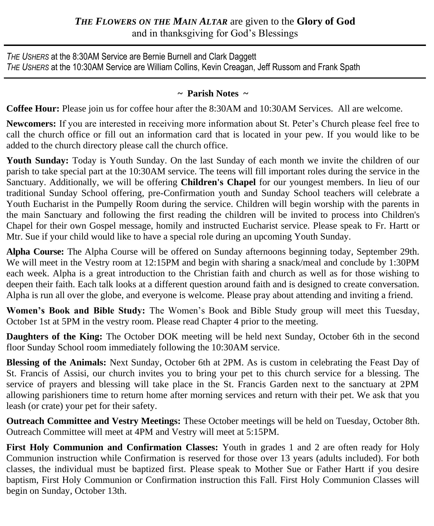## *THE FLOWERS ON THE MAIN ALTAR* are given to the **Glory of God** and in thanksgiving for God's Blessings

*THE USHERS* at the 8:30AM Service are Bernie Burnell and Clark Daggett *THE USHERS* at the 10:30AM Service are William Collins, Kevin Creagan, Jeff Russom and Frank Spath

## **~ Parish Notes ~**

**Coffee Hour:** Please join us for coffee hour after the 8:30AM and 10:30AM Services. All are welcome.

**Newcomers:** If you are interested in receiving more information about St. Peter's Church please feel free to call the church office or fill out an information card that is located in your pew. If you would like to be added to the church directory please call the church office.

**Youth Sunday:** Today is Youth Sunday. On the last Sunday of each month we invite the children of our parish to take special part at the 10:30AM service. The teens will fill important roles during the service in the Sanctuary. Additionally, we will be offering **Children's Chapel** for our youngest members. In lieu of our traditional Sunday School offering, pre-Confirmation youth and Sunday School teachers will celebrate a Youth Eucharist in the Pumpelly Room during the service. Children will begin worship with the parents in the main Sanctuary and following the first reading the children will be invited to process into Children's Chapel for their own Gospel message, homily and instructed Eucharist service. Please speak to Fr. Hartt or Mtr. Sue if your child would like to have a special role during an upcoming Youth Sunday.

**Alpha Course:** The Alpha Course will be offered on Sunday afternoons beginning today, September 29th. We will meet in the Vestry room at 12:15PM and begin with sharing a snack/meal and conclude by 1:30PM each week. Alpha is a great introduction to the Christian faith and church as well as for those wishing to deepen their faith. Each talk looks at a different question around faith and is designed to create conversation. Alpha is run all over the globe, and everyone is welcome. Please pray about attending and inviting a friend.

**Women's Book and Bible Study:** The Women's Book and Bible Study group will meet this Tuesday, October 1st at 5PM in the vestry room. Please read Chapter 4 prior to the meeting.

**Daughters of the King:** The October DOK meeting will be held next Sunday, October 6th in the second floor Sunday School room immediately following the 10:30AM service.

**Blessing of the Animals:** Next Sunday, October 6th at 2PM. As is custom in celebrating the Feast Day of St. Francis of Assisi, our church invites you to bring your pet to this church service for a blessing. The service of prayers and blessing will take place in the St. Francis Garden next to the sanctuary at 2PM allowing parishioners time to return home after morning services and return with their pet. We ask that you leash (or crate) your pet for their safety.

**Outreach Committee and Vestry Meetings:** These October meetings will be held on Tuesday, October 8th. Outreach Committee will meet at 4PM and Vestry will meet at 5:15PM.

**First Holy Communion and Confirmation Classes:** Youth in grades 1 and 2 are often ready for Holy Communion instruction while Confirmation is reserved for those over 13 years (adults included). For both classes, the individual must be baptized first. Please speak to Mother Sue or Father Hartt if you desire baptism, First Holy Communion or Confirmation instruction this Fall. First Holy Communion Classes will begin on Sunday, October 13th.